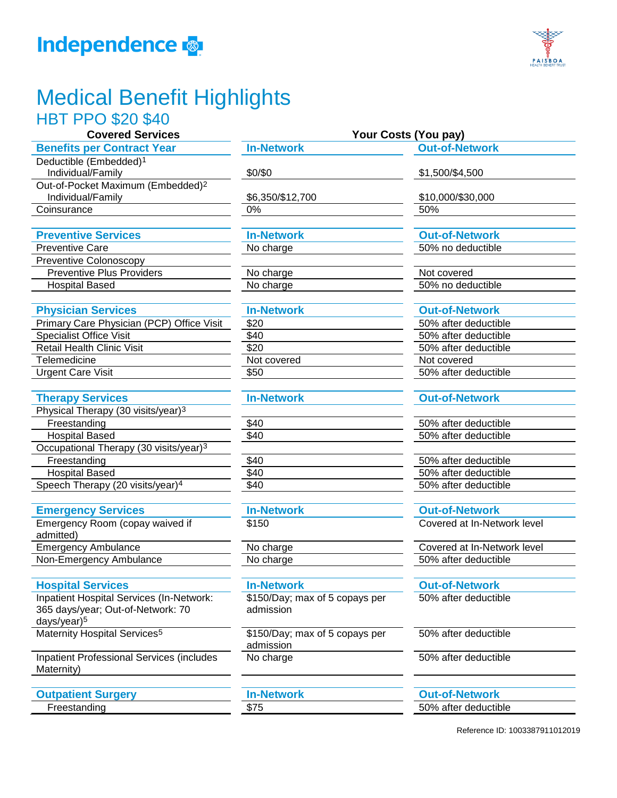



# Medical Benefit Highlights

## HBT PPO \$20 \$40

| Covered Services                              | Your Costs (You pay) |                     |  |
|-----------------------------------------------|----------------------|---------------------|--|
| <b>Benefits per Contract Year</b>             | <b>In-Network</b>    | <b>Out-of-Netwo</b> |  |
| Deductible (Embedded) <sup>1</sup>            |                      |                     |  |
| Individual/Family                             | \$0/\$0              | \$1,500/\$4,500     |  |
| Out-of-Pocket Maximum (Embedded) <sup>2</sup> |                      |                     |  |
| Individual/Family                             | \$6,350/\$12,700     | \$10,000/\$30,0     |  |
| Coinsurance                                   | 0%                   | 50%                 |  |

### **Preventive Services In-Network**

Preventive Care **12.1 Care 12.1 Care 12.2 Care 12.2 Care 12.2 Care 12.2 Care 12.2 Care 12.2 Care 12.2 Care 12.2 Care 12.2 Care 12.2 Care 12.2 Care 12.2 Care 12.2 Care 12.2 Care 12.2 Care 12.2 Care 12.2 Care 12.2 Care 12.2** Preventive Colonoscopy Preventive Plus Providers No charge Hospital Based **No charge 19th Contract Contract Contract Contract Contract Contract Contract Contract Contract Contract Contract Contract Contract Contract Contract Contract Contract Contract Contract Contract Contract Co** 

### **Physician Services In-Network In-Network Out-of-Network**

| Primary Care Physician (PCP) Office Visit | \$20        | 50% after deductible |
|-------------------------------------------|-------------|----------------------|
| Specialist Office Visit                   | \$40        | 50% after deductible |
| Retail Health Clinic Visit                | \$20        | 50% after deductible |
| Telemedicine                              | Not covered | Not covered          |
| <b>Urgent Care Visit</b>                  | \$50        | 50% after deductible |

### **Therapy Services In-Network Out-of-Network**

| Physical Therapy (30 visits/year) <sup>3</sup>     |
|----------------------------------------------------|
| Freestanding                                       |
| <b>Hospital Based</b>                              |
| Occupational Therapy (30 visits/year) <sup>3</sup> |
| Freestanding                                       |
| <b>Hospital Based</b>                              |
| Speech Therapy (20 visits/year) <sup>4</sup>       |
|                                                    |

### **Emergency Services In-Network Out-of-Network**

| Emergency Room (copay waived if |
|---------------------------------|
| admitted)                       |
| <b>Emergency Ambulance</b>      |
| Non-Emergency Ambulance         |

### **Hospital Services In-Network In-Network Out-of-Network**

| Inpatient Hospital Services (In-Network: |
|------------------------------------------|
| 365 days/year; Out-of-Network: 70        |
| days/year) <sup>5</sup>                  |
| Maternity Hospital Services <sup>5</sup> |

Inpatient Professional Services (includes Maternity)

### **Outpatient Surgery In-Network Out-of-Network**

| <b>n-Network</b> |  |
|------------------|--|

| \$40               |  |  |
|--------------------|--|--|
| $\frac{1}{1}$ \$40 |  |  |
|                    |  |  |
|                    |  |  |
| $\frac{$40}{1}$    |  |  |
|                    |  |  |

\$150/Day; max of 5 copays per admission

\$150/Day; max of 5 copays per admission No charge 1980 and 1990 after deductible

| \$1,500/\$4,500       |
|-----------------------|
| \$10,000/\$30,000     |
| 50%                   |
|                       |
| <b>Out-of-Network</b> |
| 50% no deductible     |
|                       |
| Not covered           |
|                       |

**But-of-Network** 

**Your Costs (You pay)** 

| 50% after deductible |
|----------------------|
| 50% after deductible |
| 50% after deductible |
| Not covered          |
| 50% after deductible |

50% after deductible 50% after deductible

50% after deductible 50% after deductible \$40 \$40 50% after deductible

\$150 Covered at In-Network level

No charge No charge No charge No charge No charge No charge  $Covered$  at In-Network level No charge and  $\overline{50\%}$  after deductible

50% after deductible

50% after deductible

## Freestanding **\$75** 50% after deductible **\$75** 50% after deductible

Reference ID: 1003387911012019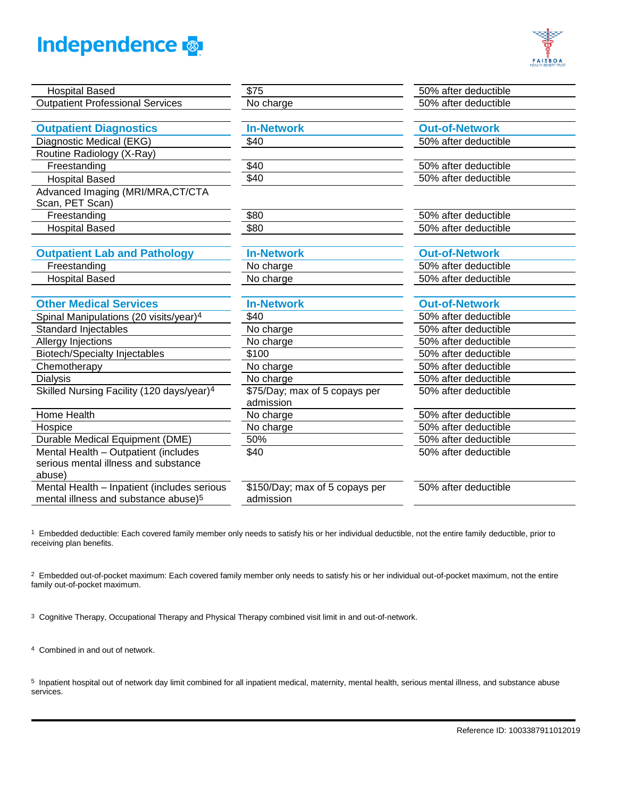



| <b>Hospital Based</b>                                 | \$75                           | 50% after deductible  |
|-------------------------------------------------------|--------------------------------|-----------------------|
| <b>Outpatient Professional Services</b>               | No charge                      | 50% after deductible  |
|                                                       |                                |                       |
| <b>Outpatient Diagnostics</b>                         | <b>In-Network</b>              | <b>Out-of-Network</b> |
| Diagnostic Medical (EKG)                              | \$40                           | 50% after deductible  |
| Routine Radiology (X-Ray)                             |                                |                       |
| Freestanding                                          | \$40                           | 50% after deductible  |
| <b>Hospital Based</b>                                 | \$40                           | 50% after deductible  |
| Advanced Imaging (MRI/MRA, CT/CTA<br>Scan, PET Scan)  |                                |                       |
| Freestanding                                          | \$80                           | 50% after deductible  |
| <b>Hospital Based</b>                                 | \$80                           | 50% after deductible  |
|                                                       |                                |                       |
| <b>Outpatient Lab and Pathology</b>                   | <b>In-Network</b>              | <b>Out-of-Network</b> |
| Freestanding                                          | No charge                      | 50% after deductible  |
| <b>Hospital Based</b>                                 | No charge                      | 50% after deductible  |
|                                                       |                                |                       |
| <b>Other Medical Services</b>                         | <b>In-Network</b>              | <b>Out-of-Network</b> |
| Spinal Manipulations (20 visits/year) <sup>4</sup>    | \$40                           | 50% after deductible  |
| <b>Standard Injectables</b>                           | No charge                      | 50% after deductible  |
| Allergy Injections                                    | No charge                      | 50% after deductible  |
| <b>Biotech/Specialty Injectables</b>                  | \$100                          | 50% after deductible  |
| Chemotherapy                                          | No charge                      | 50% after deductible  |
| <b>Dialysis</b>                                       | No charge                      | 50% after deductible  |
| Skilled Nursing Facility (120 days/year) <sup>4</sup> | \$75/Day; max of 5 copays per  | 50% after deductible  |
|                                                       | admission                      |                       |
| Home Health                                           | No charge                      | 50% after deductible  |
| Hospice                                               | No charge                      | 50% after deductible  |
| Durable Medical Equipment (DME)                       | 50%                            | 50% after deductible  |
| Mental Health - Outpatient (includes                  | \$40                           | 50% after deductible  |
| serious mental illness and substance                  |                                |                       |
| abuse)                                                |                                |                       |
| Mental Health - Inpatient (includes serious           | \$150/Day; max of 5 copays per | 50% after deductible  |
| mental illness and substance abuse) <sup>5</sup>      | admission                      |                       |
|                                                       |                                |                       |

1 Embedded deductible: Each covered family member only needs to satisfy his or her individual deductible, not the entire family deductible, prior to receiving plan benefits.

<sup>2</sup> Embedded out-of-pocket maximum: Each covered family member only needs to satisfy his or her individual out-of-pocket maximum, not the entire family out-of-pocket maximum.

3 Cognitive Therapy, Occupational Therapy and Physical Therapy combined visit limit in and out-of-network.

4 Combined in and out of network.

5 Inpatient hospital out of network day limit combined for all inpatient medical, maternity, mental health, serious mental illness, and substance abuse services.